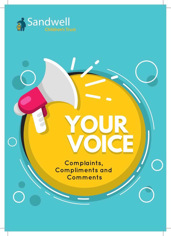

**Complaints, Compliments and Comments**

**YOUR** 

**VOICE**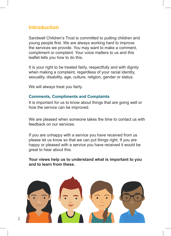### **Introduction**

Sandwell Children's Trust is committed to putting children and young people first. We are always working hard to improve the services we provide. You may want to make a comment, compliment or complaint. Your voice matters to us and this leaflet tells you how to do this.

It is your right to be treated fairly, respectfully and with dignity when making a complaint, regardless of your racial identity, sexuality, disability, age, culture, religion, gender or status.

We will always treat you fairly.

### **Comments, Compliments and Complaints**

It is important for us to know about things that are going well or how the service can be improved.

We are pleased when someone takes the time to contact us with feedback on our services.

If you are unhappy with a service you have received from us please let us know so that we can put things right. If you are happy or pleased with a service you have received it would be great to hear about this.

**Your views help us to understand what is important to you and to learn from these.**

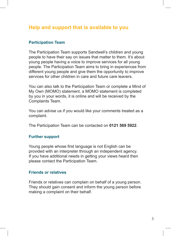# **Help and support that is available to you**

### **Participation Team**

The Participation Team supports Sandwell's children and young people to have their say on issues that matter to them. It's about young people having a voice to improve services for all young people. The Participation Team aims to bring in experiences from different young people and give them the opportunity to improve services for other children in care and future care leavers.

You can also talk to the Participation Team or complete a Mind of My Own (MOMO) statement, a MOMO statement is completed by you in your words, it is online and will be received by the Complaints Team.

You can advise us if you would like your comments treated as a complaint.

The Participation Team can be contacted on **0121 569 5922**.

### **Further support**

Young people whose first language is not English can be provided with an interpreter through an independent agency. If you have additional needs in getting your views heard then please contact the Participation Team.

### **Friends or relatives**

Friends or relatives can complain on behalf of a young person. They should gain consent and inform the young person before making a complaint on their behalf.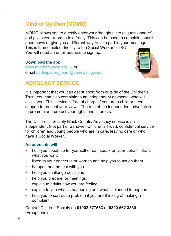# **Mind of My Own (MOMO)**

MOMO allows you to directly enter your thoughts into a 'questionnaire' and gives your room to text freely. This can be used to complain, share good news or give you a different way to take part in your meetings. This is then emailed directly to the Social Worker or IRO. You will need an email address to sign up.

### **Download the app:**

www.mindofmyown.org.uk or email participation\_team@sandwell.gov.uk



### **ADVOCACY SERVICE**

It is important that you can get support from outside of the Children's Trust. You can also complain to an independent advocate, who will assist you. This service is free of charge if you are a child or need support to present your views. The role of the independent advocate is to promote and protect your rights and interests.

The Children's Society Black Country Advocacy service is an independent (not part of Sandwell Children's Trust), confidential service for children and young people who are in care, leaving care or who have a Social Worker.

### **An advocate will:**

- help you speak up for yourself or can speak on your behalf if that's what you want
- listen to your concerns or worries and help you to act on them
- be open and honest with you
- help you challenge decisions
- help you prepare for meetings
- explain to adults how you are feeling
- explain to you what is happening and what is planned to happen
- help you to sort out a problem if you are thinking of making a complaint.

Contact Children Society on **01902 877563** or **0800 562 3839**  (Freephone).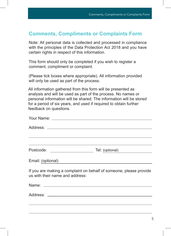$M_{\rm eff}$  and compliment, compliment, compliment, compliment, compliment,  $c$ 

# Comments, Compliments or Complaints Form **Comments, Compliments or Complaints Form**

Note: All personal data is collected and processed in compliance with the principles of the Data Protection Act 2018 and you have certain rights in respect of this information.

This form should only be completed if you wish to register a comment, compliment or complaint.

(Please tick boxes where appropriate). All information provided will only be used as part of the process.

All information gathered from this form will be presented as a personal information will be shared. The information will be stored analysis and will be used as part of the process. No names or compliant of the process or compliant or compliant  $\mathcal{L}$ for a period of six years, and used if required to obtain further feedback on questions.

| Email: (optional)               |                                                                    |
|---------------------------------|--------------------------------------------------------------------|
| us with their name and address: | If you are making a complaint on behalf of someone, please provide |
|                                 |                                                                    |
|                                 |                                                                    |
|                                 |                                                                    |
|                                 |                                                                    |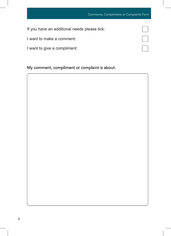| If you have an additional needs please tick: |  |
|----------------------------------------------|--|
| I want to make a comment:                    |  |
| I want to give a compliment:                 |  |

# My comment, compliment or complaint is about:

If you have an additional needs please tick:

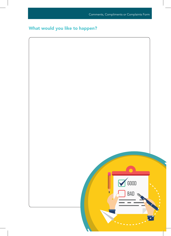## What would you like to happen<mark>?</mark>